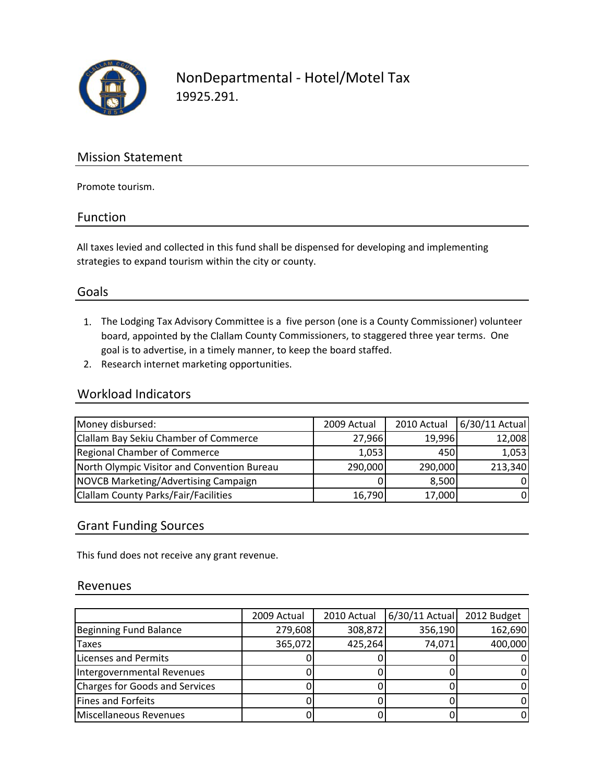

NonDepartmental ‐ Hotel/Motel Tax 19925.291.

### Mission Statement

Promote tourism.

#### Function

All taxes levied and collected in this fund shall be dispensed for developing and implementing strategies to expand tourism within the city or county.

#### Goals

- 1. The Lodging Tax Advisory Committee is a five person (one is a County Commissioner) volunteer board, appointed by the Clallam County Commissioners, to staggered three year terms. One goal is to advertise, in a timely manner, to keep the board staffed.
- 2. Research internet marketing opportunities.

#### Workload Indicators

| Money disbursed:                            | 2009 Actual | 2010 Actual | 6/30/11 Actual |
|---------------------------------------------|-------------|-------------|----------------|
| Clallam Bay Sekiu Chamber of Commerce       | 27,966      | 19,996      | 12,008         |
| Regional Chamber of Commerce                | 1,053       | 450         | 1,053          |
| North Olympic Visitor and Convention Bureau | 290,000     | 290,000     | 213,340        |
| NOVCB Marketing/Advertising Campaign        |             | 8,500       | 01             |
| Clallam County Parks/Fair/Facilities        | 16,790      | 17,000      | 0l             |

#### Grant Funding Sources

This fund does not receive any grant revenue.

#### Revenues

|                                       | 2009 Actual | 2010 Actual | $6/30/11$ Actual | 2012 Budget |
|---------------------------------------|-------------|-------------|------------------|-------------|
| Beginning Fund Balance                | 279,608     | 308,872     | 356,190          | 162,690     |
| Taxes                                 | 365,072     | 425,264     | 74,071           | 400,000     |
| <b>Licenses and Permits</b>           |             |             |                  | O           |
| Intergovernmental Revenues            |             |             |                  | 0           |
| <b>Charges for Goods and Services</b> |             |             |                  | 0           |
| Fines and Forfeits                    |             |             |                  | 0           |
| Miscellaneous Revenues                |             |             |                  | 0           |